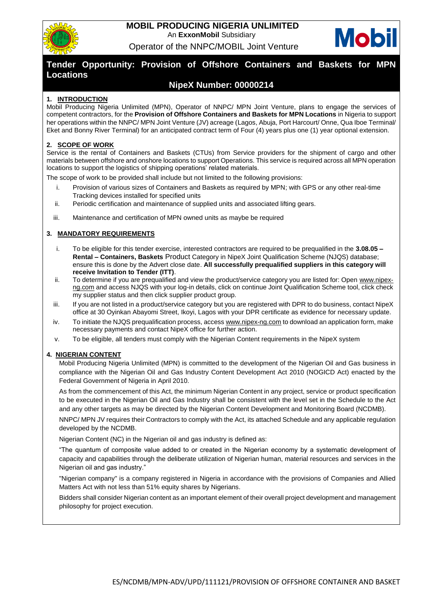

## **MOBIL PRODUCING NIGERIA UNLIMITED** An **ExxonMobil** Subsidiary Operator of the NNPC/MOBIL Joint Venture



# **Tender Opportunity: Provision of Offshore Containers and Baskets for MPN Locations**

# **NipeX Number: 00000214**

## **1. INTRODUCTION**

Mobil Producing Nigeria Unlimited (MPN), Operator of NNPC/ MPN Joint Venture, plans to engage the services of competent contractors, for the **Provision of Offshore Containers and Baskets for MPN Locations** in Nigeria to support her operations within the NNPC/ MPN Joint Venture (JV) acreage (Lagos, Abuja, Port Harcourt/ Onne, Qua Iboe Terminal/ Eket and Bonny River Terminal) for an anticipated contract term of Four (4) years plus one (1) year optional extension.

## **2. SCOPE OF WORK**

Service is the rental of Containers and Baskets (CTUs) from Service providers for the shipment of cargo and other materials between offshore and onshore locations to support Operations. This service is required across all MPN operation locations to support the logistics of shipping operations' related materials.

The scope of work to be provided shall include but not limited to the following provisions:

- i. Provision of various sizes of Containers and Baskets as required by MPN; with GPS or any other real-time Tracking devices installed for specified units
- ii. Periodic certification and maintenance of supplied units and associated lifting gears.
- iii. Maintenance and certification of MPN owned units as maybe be required

## **3. MANDATORY REQUIREMENTS**

- i. To be eligible for this tender exercise, interested contractors are required to be prequalified in the **3.08.05 – Rental – Containers, Baskets** Product Category in NipeX Joint Qualification Scheme (NJQS) database; ensure this is done by the Advert close date. **All successfully prequalified suppliers in this category will receive Invitation to Tender (ITT)**.
- ii. To determine if you are prequalified and view the product/service category you are listed for: Open www.nipexng.com and access NJQS with your log-in details, click on continue Joint Qualification Scheme tool, click check my supplier status and then click supplier product group.
- iii. If you are not listed in a product/service category but you are registered with DPR to do business, contact NipeX office at 30 Oyinkan Abayomi Street, Ikoyi, Lagos with your DPR certificate as evidence for necessary update.
- iv. To initiate the NJQS prequalification process, access [www.nipex-ng.com](http://www.nipex-ng.com/) to download an application form, make necessary payments and contact NipeX office for further action.
- v. To be eligible, all tenders must comply with the Nigerian Content requirements in the NipeX system

### **4. NIGERIAN CONTENT**

Mobil Producing Nigeria Unlimited (MPN) is committed to the development of the Nigerian Oil and Gas business in compliance with the Nigerian Oil and Gas Industry Content Development Act 2010 (NOGICD Act) enacted by the Federal Government of Nigeria in April 2010.

As from the commencement of this Act, the minimum Nigerian Content in any project, service or product specification to be executed in the Nigerian Oil and Gas Industry shall be consistent with the level set in the Schedule to the Act and any other targets as may be directed by the Nigerian Content Development and Monitoring Board (NCDMB).

NNPC/ MPN JV requires their Contractors to comply with the Act, its attached Schedule and any applicable regulation developed by the NCDMB.

Nigerian Content (NC) in the Nigerian oil and gas industry is defined as:

"The quantum of composite value added to or created in the Nigerian economy by a systematic development of capacity and capabilities through the deliberate utilization of Nigerian human, material resources and services in the Nigerian oil and gas industry."

"Nigerian company" is a company registered in Nigeria in accordance with the provisions of Companies and Allied Matters Act with not less than 51% equity shares by Nigerians.

Bidders shall consider Nigerian content as an important element of their overall project development and management philosophy for project execution.